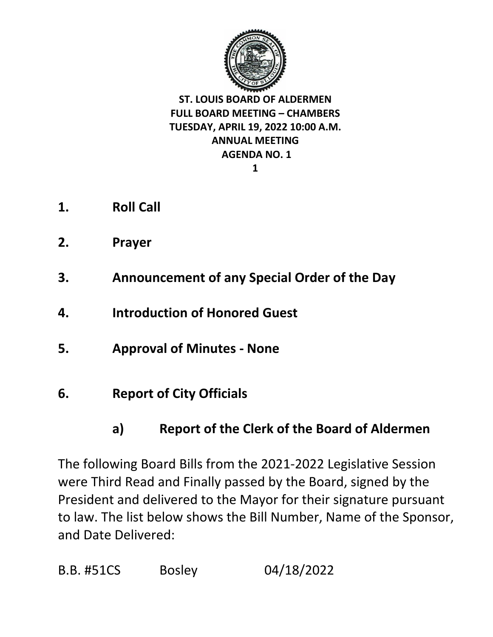

- **1. Roll Call**
- **2. Prayer**
- **3. Announcement of any Special Order of the Day**
- **4. Introduction of Honored Guest**
- **5. Approval of Minutes - None**
- **6. Report of City Officials** 
	- **a) Report of the Clerk of the Board of Aldermen**

The following Board Bills from the 2021-2022 Legislative Session were Third Read and Finally passed by the Board, signed by the President and delivered to the Mayor for their signature pursuant to law. The list below shows the Bill Number, Name of the Sponsor, and Date Delivered:

B.B. #51CS Bosley 04/18/2022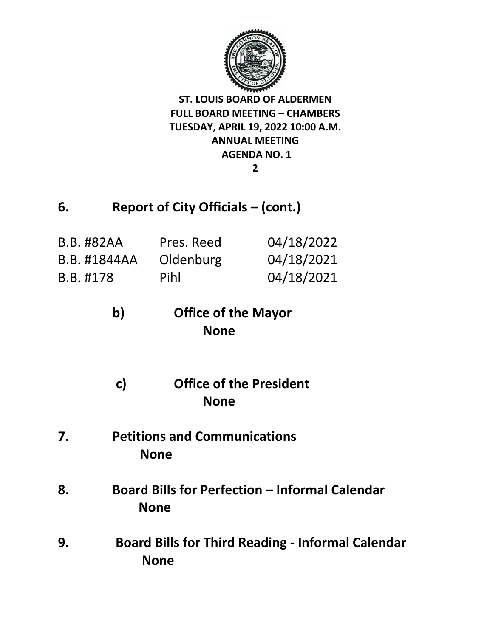

## **6. Report of City Officials – (cont.)**

| <b>B.B. #82AA</b> | Pres. Reed | 04/18/2022 |
|-------------------|------------|------------|
| B.B. #1844AA      | Oldenburg  | 04/18/2021 |
| B.B. #178         | Pihl       | 04/18/2021 |

# **b) Office of the Mayor None**

- **c) Office of the President None**
- **7. Petitions and Communications None**
- **8. Board Bills for Perfection – Informal Calendar None**
- **9. Board Bills for Third Reading - Informal Calendar None**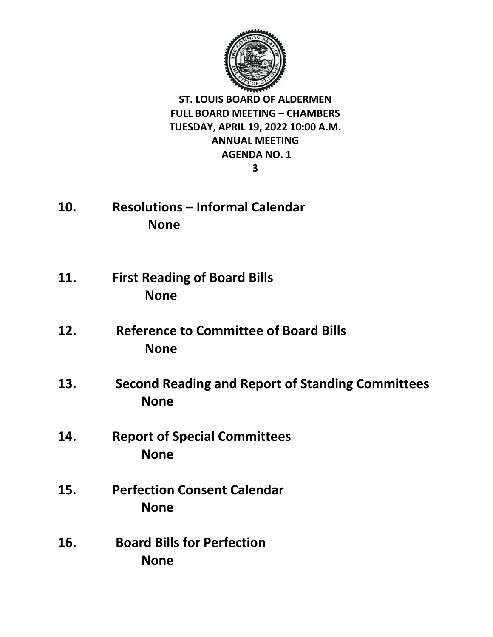

- **10. Resolutions – Informal Calendar None**
- **11. First Reading of Board Bills None**
- **12. Reference to Committee of Board Bills None**
- **13. Second Reading and Report of Standing Committees None**
- **14. Report of Special Committees None**
- **15. Perfection Consent Calendar None**
- **16. Board Bills for Perfection None**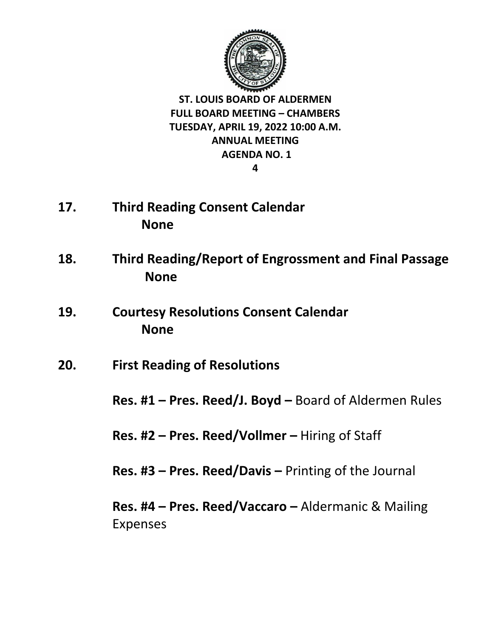

- **17. Third Reading Consent Calendar None**
- **18. Third Reading/Report of Engrossment and Final Passage None**
- **19. Courtesy Resolutions Consent Calendar None**
- **20. First Reading of Resolutions**

**Res. #1 – Pres. Reed/J. Boyd –** Board of Aldermen Rules

**Res. #2 – Pres. Reed/Vollmer –** Hiring of Staff

**Res. #3 – Pres. Reed/Davis –** Printing of the Journal

**Res. #4 – Pres. Reed/Vaccaro –** Aldermanic & Mailing Expenses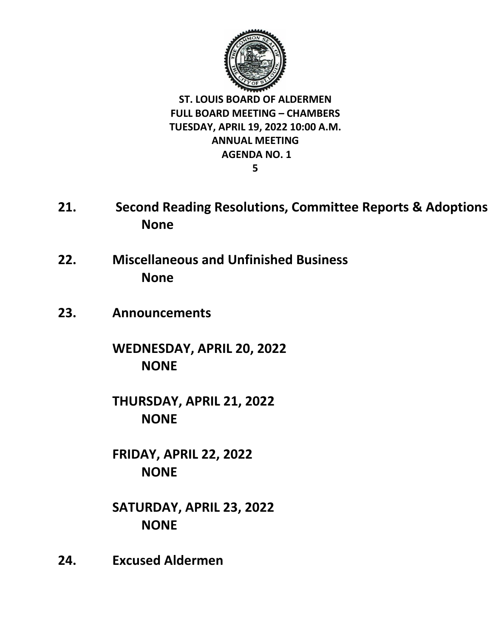

- **21. Second Reading Resolutions, Committee Reports & Adoptions None**
- **22. Miscellaneous and Unfinished Business None**
- **23. Announcements**

**WEDNESDAY, APRIL 20, 2022 NONE**

**THURSDAY, APRIL 21, 2022 NONE**

**FRIDAY, APRIL 22, 2022 NONE** 

**SATURDAY, APRIL 23, 2022 NONE**

**24. Excused Aldermen**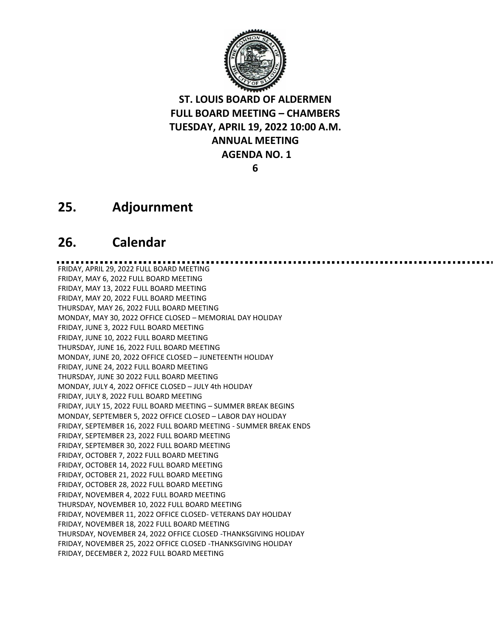

### **25. Adjournment**

### **26. Calendar**

FRIDAY, APRIL 29, 2022 FULL BOARD MEETING FRIDAY, MAY 6, 2022 FULL BOARD MEETING FRIDAY, MAY 13, 2022 FULL BOARD MEETING FRIDAY, MAY 20, 2022 FULL BOARD MEETING THURSDAY, MAY 26, 2022 FULL BOARD MEETING MONDAY, MAY 30, 2022 OFFICE CLOSED – MEMORIAL DAY HOLIDAY FRIDAY, JUNE 3, 2022 FULL BOARD MEETING FRIDAY, JUNE 10, 2022 FULL BOARD MEETING THURSDAY, JUNE 16, 2022 FULL BOARD MEETING MONDAY, JUNE 20, 2022 OFFICE CLOSED – JUNETEENTH HOLIDAY FRIDAY, JUNE 24, 2022 FULL BOARD MEETING THURSDAY, JUNE 30 2022 FULL BOARD MEETING MONDAY, JULY 4, 2022 OFFICE CLOSED – JULY 4th HOLIDAY FRIDAY, JULY 8, 2022 FULL BOARD MEETING FRIDAY, JULY 15, 2022 FULL BOARD MEETING – SUMMER BREAK BEGINS MONDAY, SEPTEMBER 5, 2022 OFFICE CLOSED – LABOR DAY HOLIDAY FRIDAY, SEPTEMBER 16, 2022 FULL BOARD MEETING - SUMMER BREAK ENDS FRIDAY, SEPTEMBER 23, 2022 FULL BOARD MEETING FRIDAY, SEPTEMBER 30, 2022 FULL BOARD MEETING FRIDAY, OCTOBER 7, 2022 FULL BOARD MEETING FRIDAY, OCTOBER 14, 2022 FULL BOARD MEETING FRIDAY, OCTOBER 21, 2022 FULL BOARD MEETING FRIDAY, OCTOBER 28, 2022 FULL BOARD MEETING FRIDAY, NOVEMBER 4, 2022 FULL BOARD MEETING THURSDAY, NOVEMBER 10, 2022 FULL BOARD MEETING FRIDAY, NOVEMBER 11, 2022 OFFICE CLOSED- VETERANS DAY HOLIDAY FRIDAY, NOVEMBER 18, 2022 FULL BOARD MEETING THURSDAY, NOVEMBER 24, 2022 OFFICE CLOSED -THANKSGIVING HOLIDAY FRIDAY, NOVEMBER 25, 2022 OFFICE CLOSED -THANKSGIVING HOLIDAY FRIDAY, DECEMBER 2, 2022 FULL BOARD MEETING